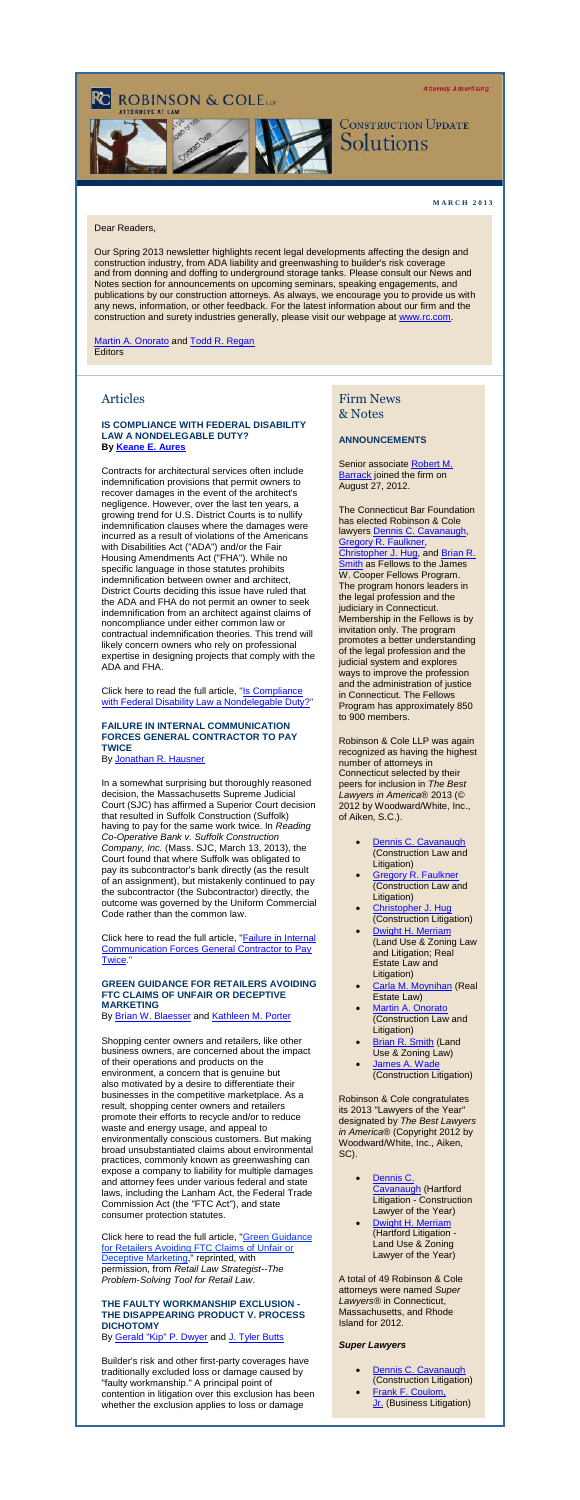**Attorney Advertising** 

# **ROBINSON & COLEtte**



## **CONSTRUCTION UPDATE** Solutions

#### **M A R C H 2 0 1 3**

#### Dear Readers,

Our Spring 2013 newsletter highlights recent legal developments affecting the design and construction industry, from ADA liability and greenwashing to builder's risk coverage and from donning and doffing to underground storage tanks. Please consult our News and Notes section for announcements on upcoming seminars, speaking engagements, and publications by our construction attorneys. As always, we encourage you to provide us with any news, information, or other feedback. For the latest information about our firm and the construction and surety industries generally, please visit our webpage at [www.rc.com.](http://cl.exct.net/?ju=fe21177670670375751377&ls=fde61d797263037f7c157477&m=fefb1671756c0d&l=fec811727763027c&s=fe25167675620c7c721078&jb=ffcf14&t=)

[Martin A. Onorato](http://cl.exct.net/?ju=fe1f177670670375751379&ls=fde61d797263037f7c157477&m=fefb1671756c0d&l=fec811727763027c&s=fe25167675620c7c721078&jb=ffcf14&t=) and [Todd R. Regan](http://cl.exct.net/?ju=fe27177670670375751c70&ls=fde61d797263037f7c157477&m=fefb1671756c0d&l=fec811727763027c&s=fe25167675620c7c721078&jb=ffcf14&t=) **Editors** 

#### Articles

#### **IS COMPLIANCE WITH FEDERAL DISABILITY LAW A NONDELEGABLE DUTY? By [Keane](http://cl.exct.net/?ju=fe26177670670375751c71&ls=fde61d797263037f7c157477&m=fefb1671756c0d&l=fec811727763027c&s=fe25167675620c7c721078&jb=ffcf14&t=) [E. Aures](http://cl.exct.net/?ju=fe26177670670375751c71&ls=fde61d797263037f7c157477&m=fefb1671756c0d&l=fec811727763027c&s=fe25167675620c7c721078&jb=ffcf14&t=)**

Contracts for architectural services often include indemnification provisions that permit owners to recover damages in the event of the architect's negligence. However, over the last ten years, a growing trend for U.S. District Courts is to nullify indemnification clauses where the damages were incurred as a result of violations of the Americans with Disabilities Act ("ADA") and/or the Fair Housing Amendments Act ("FHA"). While no specific language in those statutes prohibits indemnification between owner and architect, District Courts deciding this issue have ruled that the ADA and FHA do not permit an owner to seek indemnification from an architect against claims of noncompliance under either common law or contractual indemnification theories. This trend will likely concern owners who rely on professional expertise in designing projects that comply with the ADA and FHA.

Click here to read the full article, "Is Compliance [with Federal Disability Law a Nondelegable Duty?"](http://cl.exct.net/?ju=fe25177670670375751c72&ls=fde61d797263037f7c157477&m=fefb1671756c0d&l=fec811727763027c&s=fe25167675620c7c721078&jb=ffcf14&t=)

#### **FAILURE IN INTERNAL COMMUNICATION FORCES GENERAL CONTRACTOR TO PAY TWICE**

By [Jonathan R. Hausner](http://cl.exct.net/?ju=fe24177670670375751c73&ls=fde61d797263037f7c157477&m=fefb1671756c0d&l=fec811727763027c&s=fe25167675620c7c721078&jb=ffcf14&t=)

Click here to read the full article, "Green Guidance [for Retailers Avoiding FTC Claims of Unfair or](http://cl.exct.net/?ju=fe20177670670375751c77&ls=fde61d797263037f7c157477&m=fefb1671756c0d&l=fec811727763027c&s=fe25167675620c7c721078&jb=ffcf14&t=)  [Deceptive Marketing,](http://cl.exct.net/?ju=fe20177670670375751c77&ls=fde61d797263037f7c157477&m=fefb1671756c0d&l=fec811727763027c&s=fe25167675620c7c721078&jb=ffcf14&t=)" reprinted, with permission, from *Retail Law Strategist--The Problem-Solving Tool for Retail Law*.

Senior associate Robert M. [Barrack](http://cl.exct.net/?ju=fe1f177670670375751d77&ls=fde61d797263037f7c157477&m=fefb1671756c0d&l=fec811727763027c&s=fe25167675620c7c721078&jb=ffcf14&t=) joined the firm on August 27, 2012.

In a somewhat surprising but thoroughly reasoned decision, the Massachusetts Supreme Judicial Court (SJC) has affirmed a Superior Court decision that resulted in Suffolk Construction (Suffolk) having to pay for the same work twice. In *Reading Co-Operative Bank v. Suffolk Construction Company, Inc.* (Mass. SJC, March 13, 2013), the Court found that where Suffolk was obligated to pay its subcontractor's bank directly (as the result of an assignment), but mistakenly continued to pay the subcontractor (the Subcontractor) directly, the outcome was governed by the Uniform Commercial Code rather than the common law.

Click here to read the full article, ["Failure in Internal](http://cl.exct.net/?ju=fe23177670670375751c74&ls=fde61d797263037f7c157477&m=fefb1671756c0d&l=fec811727763027c&s=fe25167675620c7c721078&jb=ffcf14&t=)  [Communication Forces General Contractor to Pay](http://cl.exct.net/?ju=fe23177670670375751c74&ls=fde61d797263037f7c157477&m=fefb1671756c0d&l=fec811727763027c&s=fe25167675620c7c721078&jb=ffcf14&t=)  [Twice.](http://cl.exct.net/?ju=fe23177670670375751c74&ls=fde61d797263037f7c157477&m=fefb1671756c0d&l=fec811727763027c&s=fe25167675620c7c721078&jb=ffcf14&t=)"

[Dennis C. Cavanaugh](http://cl.exct.net/?ju=fe1e177670670375751d78&ls=fde61d797263037f7c157477&m=fefb1671756c0d&l=fec811727763027c&s=fe25167675620c7c721078&jb=ffcf14&t=) (Construction Law and Litigation) [Gregory R. Faulkner](http://cl.exct.net/?ju=fe1d177670670375751d79&ls=fde61d797263037f7c157477&m=fefb1671756c0d&l=fec811727763027c&s=fe25167675620c7c721078&jb=ffcf14&t=) (Construction Law and Litigation) [Christopher J. Hug](http://cl.exct.net/?ju=fe2e177670670375741470&ls=fde61d797263037f7c157477&m=fefb1671756c0d&l=fec811727763027c&s=fe25167675620c7c721078&jb=ffcf14&t=) (Construction Litigation)

#### **GREEN GUIDANCE FOR RETAILERS AVOIDING FTC CLAIMS OF UNFAIR OR DECEPTIVE MARKETING**

By [Brian W. Blaesser](http://cl.exct.net/?ju=fe22177670670375751c75&ls=fde61d797263037f7c157477&m=fefb1671756c0d&l=fec811727763027c&s=fe25167675620c7c721078&jb=ffcf14&t=) and [Kathleen M. Porter](http://cl.exct.net/?ju=fe21177670670375751c76&ls=fde61d797263037f7c157477&m=fefb1671756c0d&l=fec811727763027c&s=fe25167675620c7c721078&jb=ffcf14&t=)

- Dennis C. [Cavanaugh](http://cl.exct.net/?ju=fe1e177670670375751d78&ls=fde61d797263037f7c157477&m=fefb1671756c0d&l=fec811727763027c&s=fe25167675620c7c721078&jb=ffcf14&t=) (Hartford Litigation - Construction Lawyer of the Year)
- [Dwight H. Merriam](http://cl.exct.net/?ju=fe2c177670670375741472&ls=fde61d797263037f7c157477&m=fefb1671756c0d&l=fec811727763027c&s=fe25167675620c7c721078&jb=ffcf14&t=) (Hartford Litigation - Land Use & Zoning Lawyer of the Year)

Shopping center owners and retailers, like other business owners, are concerned about the impact of their operations and products on the environment, a concern that is genuine but also motivated by a desire to differentiate their businesses in the competitive marketplace. As a result, shopping center owners and retailers promote their efforts to recycle and/or to reduce waste and energy usage, and appeal to environmentally conscious customers. But making broad unsubstantiated claims about environmental practices, commonly known as greenwashing can expose a company to liability for multiple damages and attorney fees under various federal and state laws, including the Lanham Act, the Federal Trade Commission Act (the "FTC Act"), and state consumer protection statutes.

#### **THE FAULTY WORKMANSHIP EXCLUSION - THE DISAPPEARING PRODUCT V. PROCESS DICHOTOMY**

By [Gerald "Kip" P. Dwyer](http://cl.exct.net/?ju=fe1f177670670375751c78&ls=fde61d797263037f7c157477&m=fefb1671756c0d&l=fec811727763027c&s=fe25167675620c7c721078&jb=ffcf14&t=) and [J. Tyler Butts](http://cl.exct.net/?ju=fe1e177670670375751c79&ls=fde61d797263037f7c157477&m=fefb1671756c0d&l=fec811727763027c&s=fe25167675620c7c721078&jb=ffcf14&t=)

Builder's risk and other first-party coverages have traditionally excluded loss or damage caused by "faulty workmanship." A principal point of contention in litigation over this exclusion has been whether the exclusion applies to loss or damage

### Firm News & Notes

#### **ANNOUNCEMENTS**

The Connecticut Bar Foundation has elected Robinson & Cole lawyers [Dennis C. Cavanaugh,](http://cl.exct.net/?ju=fe1e177670670375751d78&ls=fde61d797263037f7c157477&m=fefb1671756c0d&l=fec811727763027c&s=fe25167675620c7c721078&jb=ffcf14&t=) [Gregory R. Faulkner,](http://cl.exct.net/?ju=fe1d177670670375751d79&ls=fde61d797263037f7c157477&m=fefb1671756c0d&l=fec811727763027c&s=fe25167675620c7c721078&jb=ffcf14&t=) [Christopher J. Hug,](http://cl.exct.net/?ju=fe2e177670670375741470&ls=fde61d797263037f7c157477&m=fefb1671756c0d&l=fec811727763027c&s=fe25167675620c7c721078&jb=ffcf14&t=) and [Brian R.](http://cl.exct.net/?ju=fe2d177670670375741471&ls=fde61d797263037f7c157477&m=fefb1671756c0d&l=fec811727763027c&s=fe25167675620c7c721078&jb=ffcf14&t=)  **[Smith](http://cl.exct.net/?ju=fe2d177670670375741471&ls=fde61d797263037f7c157477&m=fefb1671756c0d&l=fec811727763027c&s=fe25167675620c7c721078&jb=ffcf14&t=) as Fellows to the James** W. Cooper Fellows Program. The program honors leaders in the legal profession and the judiciary in Connecticut. Membership in the Fellows is by invitation only. The program promotes a better understanding of the legal profession and the judicial system and explores ways to improve the profession and the administration of justice in Connecticut. The Fellows Program has approximately 850 to 900 members.

Robinson & Cole LLP was again recognized as having the highest number of attorneys in Connecticut selected by their peers for inclusion in *The Best Lawyers in America*® 2013 (© 2012 by Woodward/White, Inc., of Aiken, S.C.).

- [Dwight H. Merriam](http://cl.exct.net/?ju=fe2c177670670375741472&ls=fde61d797263037f7c157477&m=fefb1671756c0d&l=fec811727763027c&s=fe25167675620c7c721078&jb=ffcf14&t=) (Land Use & Zoning Law and Litigation; Real Estate Law and Litigation)
- [Carla M. Moynihan](http://cl.exct.net/?ju=fe2b177670670375741473&ls=fde61d797263037f7c157477&m=fefb1671756c0d&l=fec811727763027c&s=fe25167675620c7c721078&jb=ffcf14&t=) (Real Estate Law)
- **[Martin A. Onorato](http://cl.exct.net/?ju=fe1f177670670375751379&ls=fde61d797263037f7c157477&m=fefb1671756c0d&l=fec811727763027c&s=fe25167675620c7c721078&jb=ffcf14&t=)** (Construction Law and Litigation)
- **[Brian R. Smith](http://cl.exct.net/?ju=fe2d177670670375741471&ls=fde61d797263037f7c157477&m=fefb1671756c0d&l=fec811727763027c&s=fe25167675620c7c721078&jb=ffcf14&t=) (Land** Use & Zoning Law)
- [James A. Wade](http://cl.exct.net/?ju=fe2a177670670375741474&ls=fde61d797263037f7c157477&m=fefb1671756c0d&l=fec811727763027c&s=fe25167675620c7c721078&jb=ffcf14&t=) (Construction Litigation)

Robinson & Cole congratulates its 2013 "Lawyers of the Year" designated by *The Best Lawyers in America®* (Copyright 2012 by Woodward/White, Inc., Aiken, SC).

A total of 49 Robinson & Cole attorneys were named *Super Lawyers®* in Connecticut, Massachusetts, and Rhode Island for 2012.

#### *Super Lawyers*

- [Dennis C. Cavanaugh](http://cl.exct.net/?ju=fe1e177670670375751d78&ls=fde61d797263037f7c157477&m=fefb1671756c0d&l=fec811727763027c&s=fe25167675620c7c721078&jb=ffcf14&t=) (Construction Litigation)
- [Frank F. Coulom,](http://cl.exct.net/?ju=fe29177670670375741475&ls=fde61d797263037f7c157477&m=fefb1671756c0d&l=fec811727763027c&s=fe25167675620c7c721078&jb=ffcf14&t=)  [Jr.](http://cl.exct.net/?ju=fe29177670670375741475&ls=fde61d797263037f7c157477&m=fefb1671756c0d&l=fec811727763027c&s=fe25167675620c7c721078&jb=ffcf14&t=) (Business Litigation)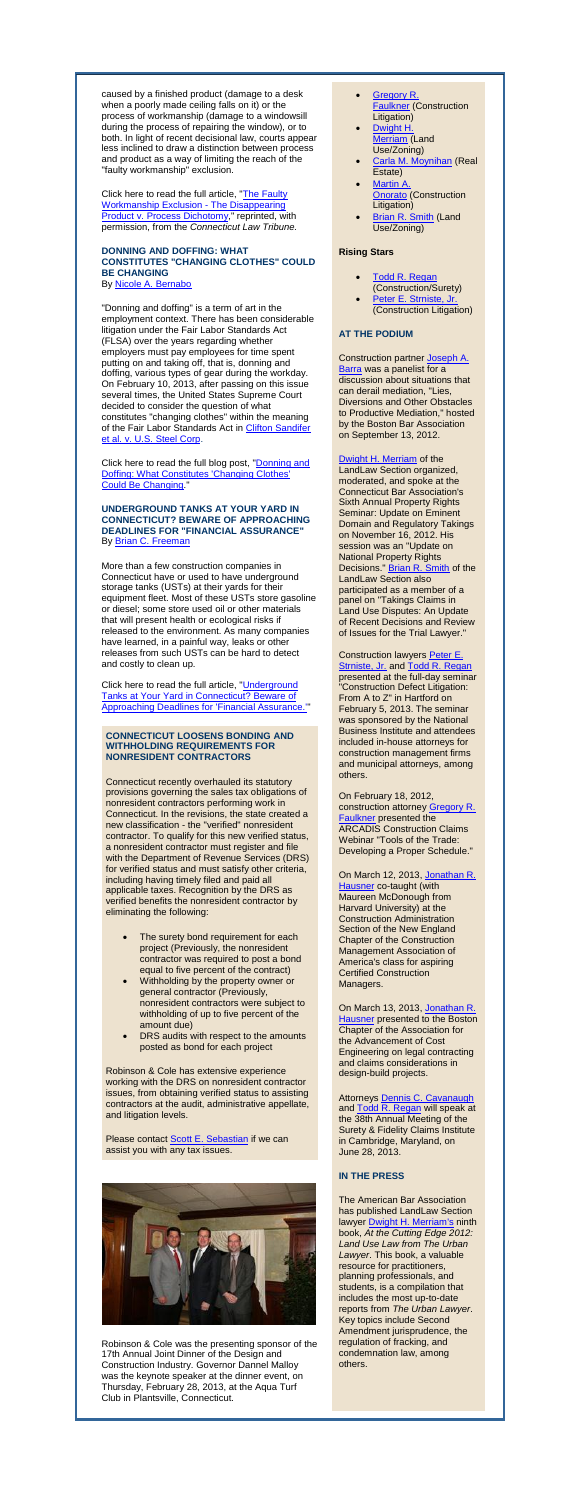caused by a finished product (damage to a desk when a poorly made ceiling falls on it) or the process of workmanship (damage to a windowsill during the process of repairing the window), or to both. In light of recent decisional law, courts appear less inclined to draw a distinction between process and product as a way of limiting the reach of the "faulty workmanship" exclusion.

Click here to read the full article, "The Faulty [Workmanship Exclusion -](http://cl.exct.net/?ju=fe26177670670375751d70&ls=fde61d797263037f7c157477&m=fefb1671756c0d&l=fec811727763027c&s=fe25167675620c7c721078&jb=ffcf14&t=) The Disappearing [Product v. Process Dichotomy,](http://cl.exct.net/?ju=fe26177670670375751d70&ls=fde61d797263037f7c157477&m=fefb1671756c0d&l=fec811727763027c&s=fe25167675620c7c721078&jb=ffcf14&t=)" reprinted, with permission, from the *Connecticut Law Tribune.*

#### **DONNING AND DOFFING: WHAT CONSTITUTES "CHANGING CLOTHES" COULD BE CHANGING**

By **[Nicole A. Bernabo](http://cl.exct.net/?ju=fe25177670670375751d71&ls=fde61d797263037f7c157477&m=fefb1671756c0d&l=fec811727763027c&s=fe25167675620c7c721078&jb=ffcf14&t=)** 

Click here to read the full blog post, "**Donning and** [Doffing: What Constitutes 'Changing Clothes'](http://cl.exct.net/?ju=fe23177670670375751d73&ls=fde61d797263037f7c157477&m=fefb1671756c0d&l=fec811727763027c&s=fe25167675620c7c721078&jb=ffcf14&t=)  [Could Be Changing.](http://cl.exct.net/?ju=fe23177670670375751d73&ls=fde61d797263037f7c157477&m=fefb1671756c0d&l=fec811727763027c&s=fe25167675620c7c721078&jb=ffcf14&t=)"

#### **UNDERGROUND TANKS AT YOUR YARD IN CONNECTICUT? BEWARE OF APPROACHING DEADLINES FOR "FINANCIAL ASSURANCE"** By **[Brian C. Freeman](http://cl.exct.net/?ju=fe22177670670375751d74&ls=fde61d797263037f7c157477&m=fefb1671756c0d&l=fec811727763027c&s=fe25167675620c7c721078&jb=ffcf14&t=)**

"Donning and doffing" is a term of art in the employment context. There has been considerable litigation under the Fair Labor Standards Act (FLSA) over the years regarding whether employers must pay employees for time spent putting on and taking off, that is, donning and doffing, various types of gear during the workday. On February 10, 2013, after passing on this issue several times, the United States Supreme Court decided to consider the question of what constitutes "changing clothes" within the meaning of the Fair Labor Standards Act in [Clifton Sandifer](http://cl.exct.net/?ju=fe24177670670375751d72&ls=fde61d797263037f7c157477&m=fefb1671756c0d&l=fec811727763027c&s=fe25167675620c7c721078&jb=ffcf14&t=)  [et al. v. U.S. Steel Corp.](http://cl.exct.net/?ju=fe24177670670375751d72&ls=fde61d797263037f7c157477&m=fefb1671756c0d&l=fec811727763027c&s=fe25167675620c7c721078&jb=ffcf14&t=)

More than a few construction companies in Connecticut have or used to have underground storage tanks (USTs) at their yards for their equipment fleet. Most of these USTs store gasoline or diesel; some store used oil or other materials that will present health or ecological risks if released to the environment. As many companies have learned, in a painful way, leaks or other releases from such USTs can be hard to detect and costly to clean up.

Click here to read the full article, ["Underground](http://cl.exct.net/?ju=fe21177670670375751d75&ls=fde61d797263037f7c157477&m=fefb1671756c0d&l=fec811727763027c&s=fe25167675620c7c721078&jb=ffcf14&t=)  [Tanks at Your Yard in Connecticut? Beware of](http://cl.exct.net/?ju=fe21177670670375751d75&ls=fde61d797263037f7c157477&m=fefb1671756c0d&l=fec811727763027c&s=fe25167675620c7c721078&jb=ffcf14&t=)  [Approaching Deadlines for 'Financial Assurance.'"](http://cl.exct.net/?ju=fe21177670670375751d75&ls=fde61d797263037f7c157477&m=fefb1671756c0d&l=fec811727763027c&s=fe25167675620c7c721078&jb=ffcf14&t=)

#### **CONNECTICUT LOOSENS BONDING AND WITHHOLDING REQUIREMENTS FOR NONRESIDENT CONTRACTORS**

Construction partner **Joseph A.** [Barra](http://cl.exct.net/?ju=fe27177670670375741477&ls=fde61d797263037f7c157477&m=fefb1671756c0d&l=fec811727763027c&s=fe25167675620c7c721078&jb=ffcf14&t=) was a panelist for a discussion about situations that can derail mediation, "Lies, Diversions and Other Obstacles to Productive Mediation," hosted by the Boston Bar Association on September 13, 2012.

#### [Dwight H. Merriam](http://cl.exct.net/?ju=fe2c177670670375741472&ls=fde61d797263037f7c157477&m=fefb1671756c0d&l=fec811727763027c&s=fe25167675620c7c721078&jb=ffcf14&t=) of the

Connecticut recently overhauled its statutory provisions governing the sales tax obligations of nonresident contractors performing work in Connecticut. In the revisions, the state created a new classification - the "verified" nonresident contractor. To qualify for this new verified status, a nonresident contractor must register and file with the Department of Revenue Services (DRS) for verified status and must satisfy other criteria, including having timely filed and paid all applicable taxes. Recognition by the DRS as verified benefits the nonresident contractor by eliminating the following:

On February 18, 2012, construction attorney [Gregory R.](http://cl.exct.net/?ju=fe1d177670670375751d79&ls=fde61d797263037f7c157477&m=fefb1671756c0d&l=fec811727763027c&s=fe25167675620c7c721078&jb=ffcf14&t=)  **[Faulkner](http://cl.exct.net/?ju=fe1d177670670375751d79&ls=fde61d797263037f7c157477&m=fefb1671756c0d&l=fec811727763027c&s=fe25167675620c7c721078&jb=ffcf14&t=)** presented the ARCADIS Construction Claims Webinar "Tools of the Trade: Developing a Proper Schedule

- The surety bond requirement for each project (Previously, the nonresident contractor was required to post a bond equal to five percent of the contract)
- Withholding by the property owner or general contractor (Previously, nonresident contractors were subject to withholding of up to five percent of the amount due)
- DRS audits with respect to the amounts posted as bond for each project

Robinson & Cole has extensive experience working with the DRS on nonresident contractor issues, from obtaining verified status to assisting contractors at the audit, administrative appellate, and litigation levels.

Please contact [Scott E. Sebastian](http://cl.exct.net/?ju=fe20177670670375751d76&ls=fde61d797263037f7c157477&m=fefb1671756c0d&l=fec811727763027c&s=fe25167675620c7c721078&jb=ffcf14&t=) if we can assist you with any tax issues.



Robinson & Cole was the presenting sponsor of the 17th Annual Joint Dinner of the Design and Construction Industry. Governor Dannel Malloy was the keynote speaker at the dinner event, on Thursday, February 28, 2013, at the Aqua Turf Club in Plantsville, Connecticut.

- [Gregory R.](http://cl.exct.net/?ju=fe1d177670670375751d79&ls=fde61d797263037f7c157477&m=fefb1671756c0d&l=fec811727763027c&s=fe25167675620c7c721078&jb=ffcf14&t=)  **[Faulkner](http://cl.exct.net/?ju=fe1d177670670375751d79&ls=fde61d797263037f7c157477&m=fefb1671756c0d&l=fec811727763027c&s=fe25167675620c7c721078&jb=ffcf14&t=) (Construction** Litigation)
- [Dwight H.](http://cl.exct.net/?ju=fe2c177670670375741472&ls=fde61d797263037f7c157477&m=fefb1671756c0d&l=fec811727763027c&s=fe25167675620c7c721078&jb=ffcf14&t=)  [Merriam](http://cl.exct.net/?ju=fe2c177670670375741472&ls=fde61d797263037f7c157477&m=fefb1671756c0d&l=fec811727763027c&s=fe25167675620c7c721078&jb=ffcf14&t=) (Land Use/Zoning)
- [Carla M. Moynihan](http://cl.exct.net/?ju=fe2b177670670375741473&ls=fde61d797263037f7c157477&m=fefb1671756c0d&l=fec811727763027c&s=fe25167675620c7c721078&jb=ffcf14&t=) (Real Estate)
- [Martin A.](http://cl.exct.net/?ju=fe1f177670670375751379&ls=fde61d797263037f7c157477&m=fefb1671756c0d&l=fec811727763027c&s=fe25167675620c7c721078&jb=ffcf14&t=)  **[Onorato](http://cl.exct.net/?ju=fe1f177670670375751379&ls=fde61d797263037f7c157477&m=fefb1671756c0d&l=fec811727763027c&s=fe25167675620c7c721078&jb=ffcf14&t=)** (Construction Litigation)
- [Brian R. Smith](http://cl.exct.net/?ju=fe2d177670670375741471&ls=fde61d797263037f7c157477&m=fefb1671756c0d&l=fec811727763027c&s=fe25167675620c7c721078&jb=ffcf14&t=) (Land Use/Zoning)

#### **Rising Stars**

- [Todd R. Regan](http://cl.exct.net/?ju=fe27177670670375751c70&ls=fde61d797263037f7c157477&m=fefb1671756c0d&l=fec811727763027c&s=fe25167675620c7c721078&jb=ffcf14&t=)
- (Construction/Surety)
- [Peter E. Strniste, Jr.](http://cl.exct.net/?ju=fe28177670670375741476&ls=fde61d797263037f7c157477&m=fefb1671756c0d&l=fec811727763027c&s=fe25167675620c7c721078&jb=ffcf14&t=) (Construction Litigation)

#### **AT THE PODIUM**

LandLaw Section organized, moderated, and spoke at the Connecticut Bar Association's Sixth Annual Property Rights Seminar: Update on Eminent Domain and Regulatory Takings on November 16, 2012. His session was an "Update on National Property Rights Decisions." **Brian R. Smith of the** LandLaw Section also participated as a member of a panel on "Takings Claims in Land Use Disputes: An Update of Recent Decisions and Review of Issues for the Trial Lawyer."

Construction lawyers [Peter E.](http://cl.exct.net/?ju=fe28177670670375741476&ls=fde61d797263037f7c157477&m=fefb1671756c0d&l=fec811727763027c&s=fe25167675620c7c721078&jb=ffcf14&t=)  [Strniste, Jr.](http://cl.exct.net/?ju=fe28177670670375741476&ls=fde61d797263037f7c157477&m=fefb1671756c0d&l=fec811727763027c&s=fe25167675620c7c721078&jb=ffcf14&t=) and [Todd R.](http://cl.exct.net/?ju=fe26177670670375741478&ls=fde61d797263037f7c157477&m=fefb1671756c0d&l=fec811727763027c&s=fe25167675620c7c721078&jb=ffcf14&t=) Regan presented at the full-day seminar "Construction Defect Litigation: From A to Z" in Hartford on February 5, 2013. The seminar was sponsored by the National Business Institute and attendees included in-house attorneys for construction management firms and municipal attorneys, among others.

On March 12, 2013, [Jonathan R.](http://cl.exct.net/?ju=fe25177670670375741479&ls=fde61d797263037f7c157477&m=fefb1671756c0d&l=fec811727763027c&s=fe25167675620c7c721078&jb=ffcf14&t=)  [Hausner](http://cl.exct.net/?ju=fe25177670670375741479&ls=fde61d797263037f7c157477&m=fefb1671756c0d&l=fec811727763027c&s=fe25167675620c7c721078&jb=ffcf14&t=) co-taught (with Maureen McDonough from Harvard University) at the Construction Administration Section of the New England Chapter of the Construction Management Association of America's class for aspiring Certified Construction Managers.

On March 13, 2013, [Jonathan R.](http://cl.exct.net/?ju=fe25177670670375741479&ls=fde61d797263037f7c157477&m=fefb1671756c0d&l=fec811727763027c&s=fe25167675620c7c721078&jb=ffcf14&t=)  [Hausner](http://cl.exct.net/?ju=fe25177670670375741479&ls=fde61d797263037f7c157477&m=fefb1671756c0d&l=fec811727763027c&s=fe25167675620c7c721078&jb=ffcf14&t=) presented to the Boston Chapter of the Association for the Advancement of Cost Engineering on legal contracting and claims considerations in design-build projects.

Attorneys [Dennis C. Cavanaugh](http://cl.exct.net/?ju=fe1e177670670375751d78&ls=fde61d797263037f7c157477&m=fefb1671756c0d&l=fec811727763027c&s=fe25167675620c7c721078&jb=ffcf14&t=) and [Todd R.](http://cl.exct.net/?ju=fe27177670670375751c70&ls=fde61d797263037f7c157477&m=fefb1671756c0d&l=fec811727763027c&s=fe25167675620c7c721078&jb=ffcf14&t=) Regan will speak at the 38th Annual Meeting of the Surety & Fidelity Claims Institute in Cambridge, Maryland, on June 28, 2013.

#### **IN THE PRESS**

The American Bar Association has published LandLaw Section lawyer **Dwight H. Merriam's** ninth book, *At the Cutting Edge 2012: Land Use Law from The Urban Lawyer*. This book, a valuable resource for practitioners, planning professionals, and students, is a compilation that includes the most up-to-date reports from *The Urban Lawyer*. Key topics include Second Amendment jurisprudence, the regulation of fracking, and condemnation law, among others.